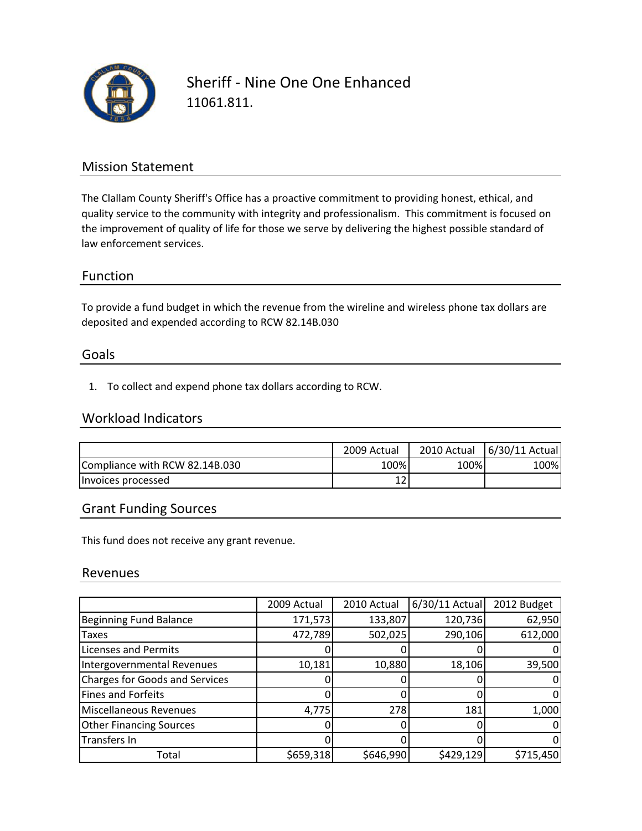

Sheriff ‐ Nine One One Enhanced 11061.811.

## Mission Statement

The Clallam County Sheriff's Office has a proactive commitment to providing honest, ethical, and quality service to the community with integrity and professionalism. This commitment is focused on the improvement of quality of life for those we serve by delivering the highest possible standard of law enforcement services.

### Function

To provide a fund budget in which the revenue from the wireline and wireless phone tax dollars are deposited and expended according to RCW 82.14B.030

#### Goals

1. To collect and expend phone tax dollars according to RCW.

### Workload Indicators

|                                | 2009 Actual | 2010 Actual | 6/30/11 Actual |
|--------------------------------|-------------|-------------|----------------|
| Compliance with RCW 82.14B.030 | 100%        | 100%        | 100%           |
| Invoices processed             |             |             |                |

## Grant Funding Sources

This fund does not receive any grant revenue.

#### Revenues

|                                       | 2009 Actual | 2010 Actual | $6/30/11$ Actual | 2012 Budget |
|---------------------------------------|-------------|-------------|------------------|-------------|
| <b>Beginning Fund Balance</b>         | 171,573     | 133,807     | 120,736          | 62,950      |
| <b>Taxes</b>                          | 472,789     | 502,025     | 290,106          | 612,000     |
| <b>Licenses and Permits</b>           |             |             |                  |             |
| Intergovernmental Revenues            | 10,181      | 10,880      | 18,106           | 39,500      |
| <b>Charges for Goods and Services</b> |             |             |                  |             |
| <b>Fines and Forfeits</b>             |             |             |                  |             |
| Miscellaneous Revenues                | 4,775       | 278         | 181              | 1,000       |
| <b>Other Financing Sources</b>        |             |             |                  |             |
| Transfers In                          |             |             |                  |             |
| Total                                 | \$659,318   | \$646,990   | \$429,129        | \$715,450   |